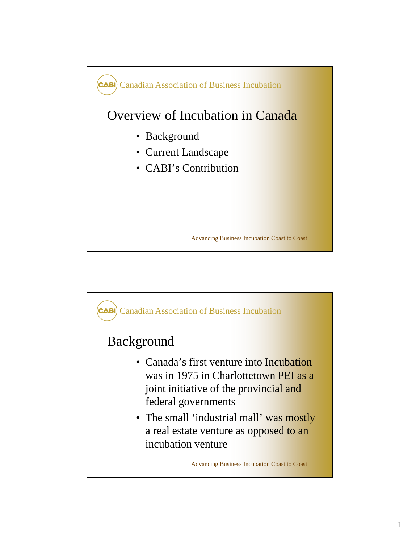

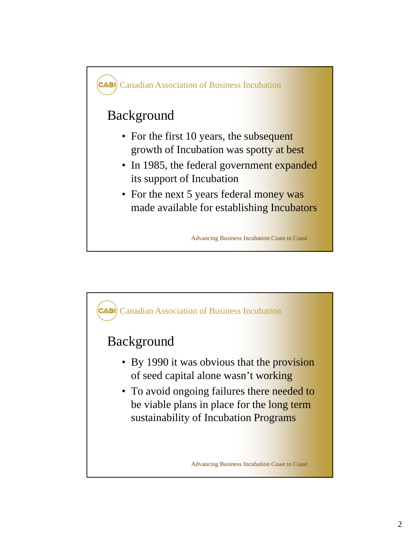

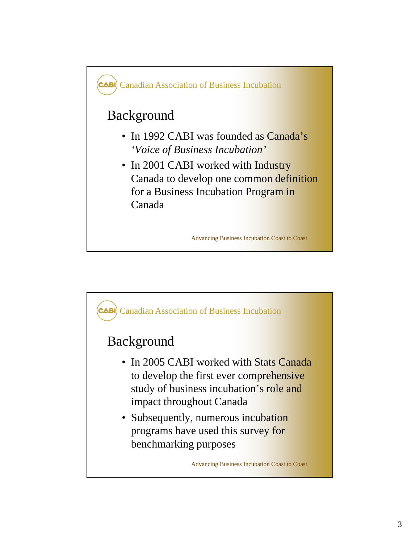

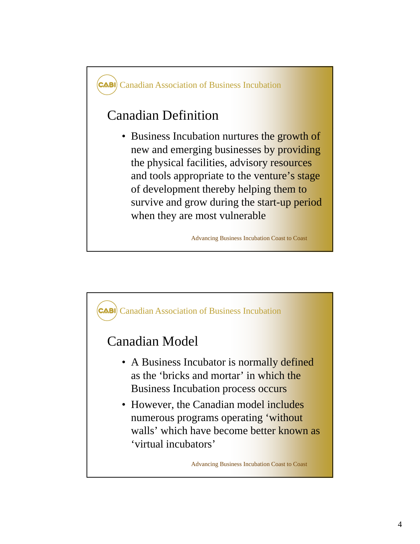

Advancing Business Incubation Coast to Coast

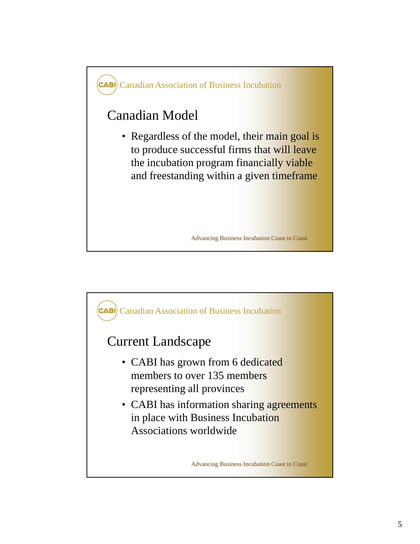

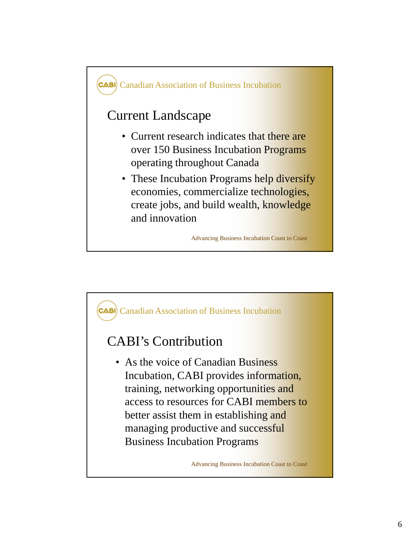

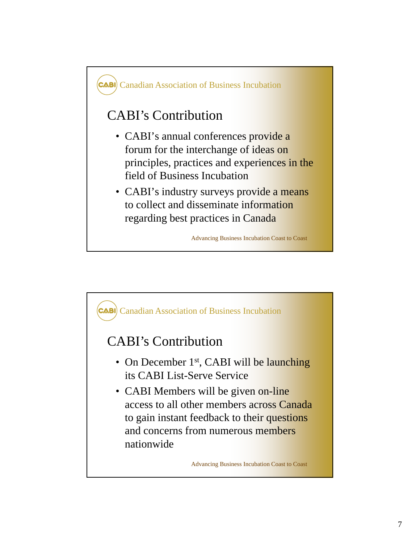